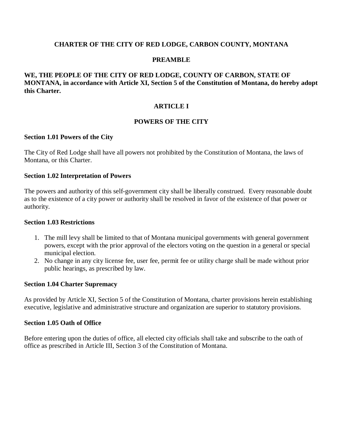### **CHARTER OF THE CITY OF RED LODGE, CARBON COUNTY, MONTANA**

### **PREAMBLE**

# **WE, THE PEOPLE OF THE CITY OF RED LODGE, COUNTY OF CARBON, STATE OF MONTANA, in accordance with Article XI, Section 5 of the Constitution of Montana, do hereby adopt this Charter.**

### **ARTICLE I**

### **POWERS OF THE CITY**

#### **Section 1.01 Powers of the City**

The City of Red Lodge shall have all powers not prohibited by the Constitution of Montana, the laws of Montana, or this Charter.

#### **Section 1.02 Interpretation of Powers**

The powers and authority of this self-government city shall be liberally construed. Every reasonable doubt as to the existence of a city power or authority shall be resolved in favor of the existence of that power or authority.

#### **Section 1.03 Restrictions**

- 1. The mill levy shall be limited to that of Montana municipal governments with general government powers, except with the prior approval of the electors voting on the question in a general or special municipal election.
- 2. No change in any city license fee, user fee, permit fee or utility charge shall be made without prior public hearings, as prescribed by law.

#### **Section 1.04 Charter Supremacy**

As provided by Article XI, Section 5 of the Constitution of Montana, charter provisions herein establishing executive, legislative and administrative structure and organization are superior to statutory provisions.

#### **Section 1.05 Oath of Office**

Before entering upon the duties of office, all elected city officials shall take and subscribe to the oath of office as prescribed in Article III, Section 3 of the Constitution of Montana.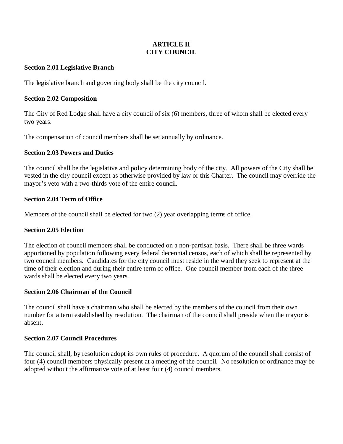# **ARTICLE II CITY COUNCIL**

### **Section 2.01 Legislative Branch**

The legislative branch and governing body shall be the city council.

### **Section 2.02 Composition**

The City of Red Lodge shall have a city council of six (6) members, three of whom shall be elected every two years.

The compensation of council members shall be set annually by ordinance.

# **Section 2.03 Powers and Duties**

The council shall be the legislative and policy determining body of the city. All powers of the City shall be vested in the city council except as otherwise provided by law or this Charter. The council may override the mayor's veto with a two-thirds vote of the entire council.

# **Section 2.04 Term of Office**

Members of the council shall be elected for two (2) year overlapping terms of office.

# **Section 2.05 Election**

The election of council members shall be conducted on a non-partisan basis. There shall be three wards apportioned by population following every federal decennial census, each of which shall be represented by two council members. Candidates for the city council must reside in the ward they seek to represent at the time of their election and during their entire term of office. One council member from each of the three wards shall be elected every two years.

# **Section 2.06 Chairman of the Council**

The council shall have a chairman who shall be elected by the members of the council from their own number for a term established by resolution. The chairman of the council shall preside when the mayor is absent.

#### **Section 2.07 Council Procedures**

The council shall, by resolution adopt its own rules of procedure. A quorum of the council shall consist of four (4) council members physically present at a meeting of the council. No resolution or ordinance may be adopted without the affirmative vote of at least four (4) council members.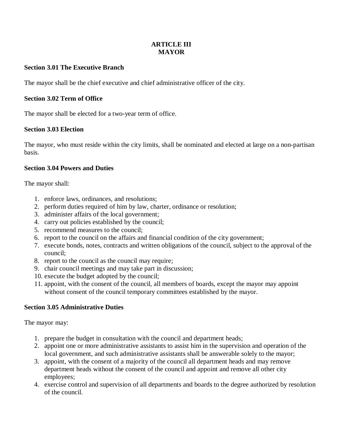# **ARTICLE III MAYOR**

# **Section 3.01 The Executive Branch**

The mayor shall be the chief executive and chief administrative officer of the city.

### **Section 3.02 Term of Office**

The mayor shall be elected for a two-year term of office.

### **Section 3.03 Election**

The mayor, who must reside within the city limits, shall be nominated and elected at large on a non-partisan basis.

### **Section 3.04 Powers and Duties**

The mayor shall:

- 1. enforce laws, ordinances, and resolutions;
- 2. perform duties required of him by law, charter, ordinance or resolution;
- 3. administer affairs of the local government;
- 4. carry out policies established by the council;
- 5. recommend measures to the council;
- 6. report to the council on the affairs and financial condition of the city government;
- 7. execute bonds, notes, contracts and written obligations of the council, subject to the approval of the council;
- 8. report to the council as the council may require;
- 9. chair council meetings and may take part in discussion;
- 10. execute the budget adopted by the council;
- 11. appoint, with the consent of the council, all members of boards, except the mayor may appoint without consent of the council temporary committees established by the mayor.

# **Section 3.05 Administrative Duties**

The mayor may:

- 1. prepare the budget in consultation with the council and department heads;
- 2. appoint one or more administrative assistants to assist him in the supervision and operation of the local government, and such administrative assistants shall be answerable solely to the mayor;
- 3. appoint, with the consent of a majority of the council all department heads and may remove department heads without the consent of the council and appoint and remove all other city employees;
- 4. exercise control and supervision of all departments and boards to the degree authorized by resolution of the council.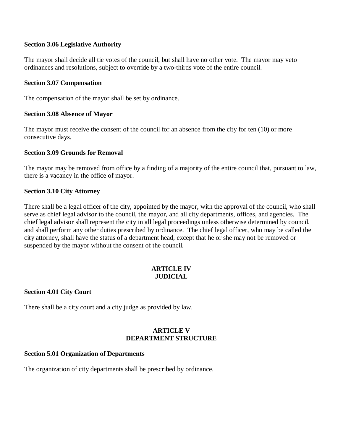### **Section 3.06 Legislative Authority**

The mayor shall decide all tie votes of the council, but shall have no other vote. The mayor may veto ordinances and resolutions, subject to override by a two-thirds vote of the entire council.

#### **Section 3.07 Compensation**

The compensation of the mayor shall be set by ordinance.

### **Section 3.08 Absence of Mayor**

The mayor must receive the consent of the council for an absence from the city for ten (10) or more consecutive days.

### **Section 3.09 Grounds for Removal**

The mayor may be removed from office by a finding of a majority of the entire council that, pursuant to law, there is a vacancy in the office of mayor.

### **Section 3.10 City Attorney**

There shall be a legal officer of the city, appointed by the mayor, with the approval of the council, who shall serve as chief legal advisor to the council, the mayor, and all city departments, offices, and agencies. The chief legal advisor shall represent the city in all legal proceedings unless otherwise determined by council, and shall perform any other duties prescribed by ordinance. The chief legal officer, who may be called the city attorney, shall have the status of a department head, except that he or she may not be removed or suspended by the mayor without the consent of the council.

# **ARTICLE IV JUDICIAL**

# **Section 4.01 City Court**

There shall be a city court and a city judge as provided by law.

# **ARTICLE V DEPARTMENT STRUCTURE**

#### **Section 5.01 Organization of Departments**

The organization of city departments shall be prescribed by ordinance.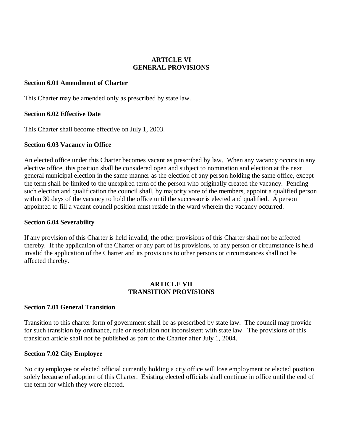### **ARTICLE VI GENERAL PROVISIONS**

#### **Section 6.01 Amendment of Charter**

This Charter may be amended only as prescribed by state law.

# **Section 6.02 Effective Date**

This Charter shall become effective on July 1, 2003.

### **Section 6.03 Vacancy in Office**

An elected office under this Charter becomes vacant as prescribed by law. When any vacancy occurs in any elective office, this position shall be considered open and subject to nomination and election at the next general municipal election in the same manner as the election of any person holding the same office, except the term shall be limited to the unexpired term of the person who originally created the vacancy. Pending such election and qualification the council shall, by majority vote of the members, appoint a qualified person within 30 days of the vacancy to hold the office until the successor is elected and qualified. A person appointed to fill a vacant council position must reside in the ward wherein the vacancy occurred.

#### **Section 6.04 Severability**

If any provision of this Charter is held invalid, the other provisions of this Charter shall not be affected thereby. If the application of the Charter or any part of its provisions, to any person or circumstance is held invalid the application of the Charter and its provisions to other persons or circumstances shall not be affected thereby.

### **ARTICLE VII TRANSITION PROVISIONS**

# **Section 7.01 General Transition**

Transition to this charter form of government shall be as prescribed by state law. The council may provide for such transition by ordinance, rule or resolution not inconsistent with state law. The provisions of this transition article shall not be published as part of the Charter after July 1, 2004.

#### **Section 7.02 City Employee**

No city employee or elected official currently holding a city office will lose employment or elected position solely because of adoption of this Charter. Existing elected officials shall continue in office until the end of the term for which they were elected.